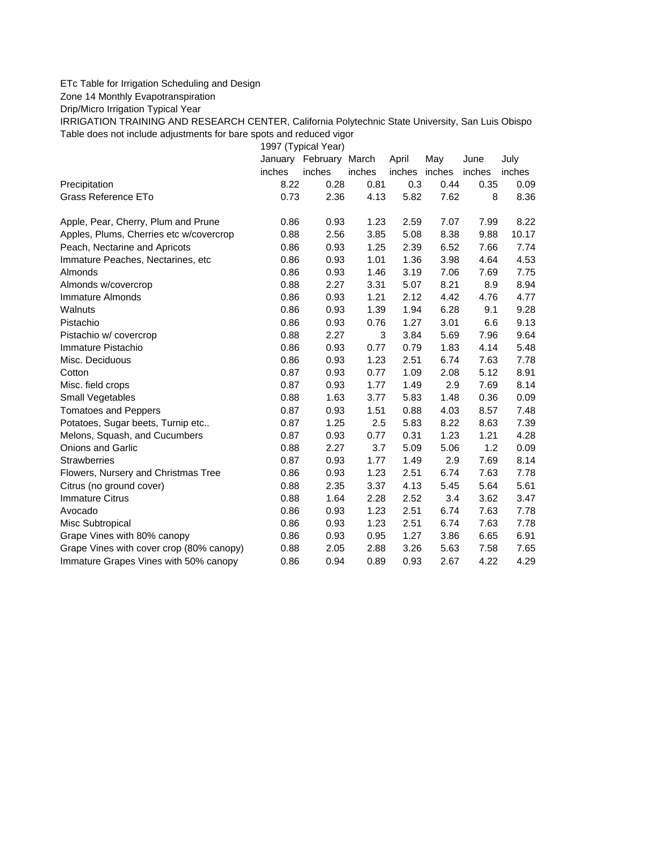## ETc Table for Irrigation Scheduling and Design

Zone 14 Monthly Evapotranspiration

Drip/Micro Irrigation Typical Year

IRRIGATION TRAINING AND RESEARCH CENTER, California Polytechnic State University, San Luis Obispo Table does not include adjustments for bare spots and reduced vigor

1997 (Typical Year)

|                                          |        | January February March |        | April         | May  | June   | July   |
|------------------------------------------|--------|------------------------|--------|---------------|------|--------|--------|
|                                          | inches | inches                 | inches | inches inches |      | inches | inches |
| Precipitation                            | 8.22   | 0.28                   | 0.81   | 0.3           | 0.44 | 0.35   | 0.09   |
| Grass Reference ETo                      | 0.73   | 2.36                   | 4.13   | 5.82          | 7.62 | 8      | 8.36   |
| Apple, Pear, Cherry, Plum and Prune      | 0.86   | 0.93                   | 1.23   | 2.59          | 7.07 | 7.99   | 8.22   |
| Apples, Plums, Cherries etc w/covercrop  | 0.88   | 2.56                   | 3.85   | 5.08          | 8.38 | 9.88   | 10.17  |
| Peach, Nectarine and Apricots            | 0.86   | 0.93                   | 1.25   | 2.39          | 6.52 | 7.66   | 7.74   |
| Immature Peaches, Nectarines, etc        | 0.86   | 0.93                   | 1.01   | 1.36          | 3.98 | 4.64   | 4.53   |
| Almonds                                  | 0.86   | 0.93                   | 1.46   | 3.19          | 7.06 | 7.69   | 7.75   |
| Almonds w/covercrop                      | 0.88   | 2.27                   | 3.31   | 5.07          | 8.21 | 8.9    | 8.94   |
| Immature Almonds                         | 0.86   | 0.93                   | 1.21   | 2.12          | 4.42 | 4.76   | 4.77   |
| Walnuts                                  | 0.86   | 0.93                   | 1.39   | 1.94          | 6.28 | 9.1    | 9.28   |
| Pistachio                                | 0.86   | 0.93                   | 0.76   | 1.27          | 3.01 | 6.6    | 9.13   |
| Pistachio w/ covercrop                   | 0.88   | 2.27                   | 3      | 3.84          | 5.69 | 7.96   | 9.64   |
| Immature Pistachio                       | 0.86   | 0.93                   | 0.77   | 0.79          | 1.83 | 4.14   | 5.48   |
| Misc. Deciduous                          | 0.86   | 0.93                   | 1.23   | 2.51          | 6.74 | 7.63   | 7.78   |
| Cotton                                   | 0.87   | 0.93                   | 0.77   | 1.09          | 2.08 | 5.12   | 8.91   |
| Misc. field crops                        | 0.87   | 0.93                   | 1.77   | 1.49          | 2.9  | 7.69   | 8.14   |
| Small Vegetables                         | 0.88   | 1.63                   | 3.77   | 5.83          | 1.48 | 0.36   | 0.09   |
| <b>Tomatoes and Peppers</b>              | 0.87   | 0.93                   | 1.51   | 0.88          | 4.03 | 8.57   | 7.48   |
| Potatoes, Sugar beets, Turnip etc        | 0.87   | 1.25                   | 2.5    | 5.83          | 8.22 | 8.63   | 7.39   |
| Melons, Squash, and Cucumbers            | 0.87   | 0.93                   | 0.77   | 0.31          | 1.23 | 1.21   | 4.28   |
| <b>Onions and Garlic</b>                 | 0.88   | 2.27                   | 3.7    | 5.09          | 5.06 | 1.2    | 0.09   |
| <b>Strawberries</b>                      | 0.87   | 0.93                   | 1.77   | 1.49          | 2.9  | 7.69   | 8.14   |
| Flowers, Nursery and Christmas Tree      | 0.86   | 0.93                   | 1.23   | 2.51          | 6.74 | 7.63   | 7.78   |
| Citrus (no ground cover)                 | 0.88   | 2.35                   | 3.37   | 4.13          | 5.45 | 5.64   | 5.61   |
| <b>Immature Citrus</b>                   | 0.88   | 1.64                   | 2.28   | 2.52          | 3.4  | 3.62   | 3.47   |
| Avocado                                  | 0.86   | 0.93                   | 1.23   | 2.51          | 6.74 | 7.63   | 7.78   |
| Misc Subtropical                         | 0.86   | 0.93                   | 1.23   | 2.51          | 6.74 | 7.63   | 7.78   |
| Grape Vines with 80% canopy              | 0.86   | 0.93                   | 0.95   | 1.27          | 3.86 | 6.65   | 6.91   |
| Grape Vines with cover crop (80% canopy) | 0.88   | 2.05                   | 2.88   | 3.26          | 5.63 | 7.58   | 7.65   |
| Immature Grapes Vines with 50% canopy    | 0.86   | 0.94                   | 0.89   | 0.93          | 2.67 | 4.22   | 4.29   |